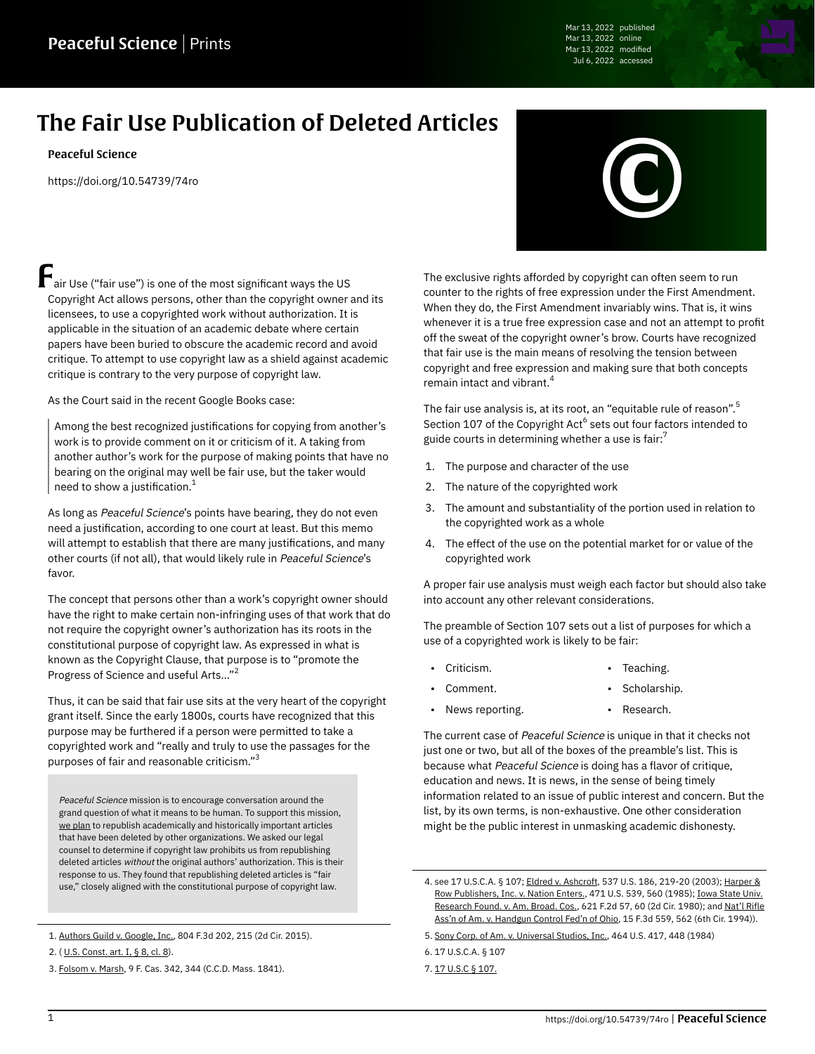Mar 13, 2022 published Mar 13, 2022 online Mar 13, 2022 modified Jul 6, 2022 accessed

# The Fair Use Publication of Deleted Articles

[Peaceful Science](https://peacefulscience.org/authors/peaceful-science/)

<https://doi.org/10.54739/74ro>

Fair Use ("fair use") is one of the most significant ways the US Copyright Act allows persons, other than the copyright owner and its licensees, to use a copyrighted work without authorization. It is applicable in the situation of an academic debate where certain papers have been buried to obscure the academic record and avoid critique. To attempt to use copyright law as a shield against academic critique is contrary to the very purpose of copyright law.

As the Court said in the recent Google Books case:

Among the best recognized justifications for copying from another's work is to provide comment on it or criticism of it. A taking from another author's work for the purpose of making points that have no bearing on the original may well be fair use, but the taker would need to show a justification. $<sup>1</sup>$ </sup>

As long as Peaceful Science's points have bearing, they do not even need a justification, according to one court at least. But this memo will attempt to establish that there are many justifications, and many other courts (if not all), that would likely rule in Peaceful Science's favor.

The concept that persons other than a work's copyright owner should have the right to make certain non-infringing uses of that work that do not require the copyright owner's authorization has its roots in the constitutional purpose of copyright law. As expressed in what is known as the Copyright Clause, that purpose is to "promote the Progress of Science and useful Arts…" 2

Thus, it can be said that fair use sits at the very heart of the copyright grant itself. Since the early 1800s, courts have recognized that this purpose may be furthered if a person were permitted to take a copyrighted work and "really and truly to use the passages for the purposes of fair and reasonable criticism." $^{\rm 3}$ 

Peaceful Science mission is to encourage conversation around the grand question of what it means to be human. To support this mission, [we plan](https://peacefulscience.org/prints/deleted/) to republish academically and historically important articles that have been deleted by other organizations. We asked our legal counsel to determine if copyright law prohibits us from republishing deleted articles without the original authors' authorization. This is their response to us. They found that republishing deleted articles is "fair use," closely aligned with the constitutional purpose of copyright law.



The exclusive rights afforded by copyright can often seem to run counter to the rights of free expression under the First Amendment. When they do, the First Amendment invariably wins. That is, it wins whenever it is a true free expression case and not an attempt to profit off the sweat of the copyright owner's brow. Courts have recognized that fair use is the main means of resolving the tension between copyright and free expression and making sure that both concepts remain intact and vibrant.<sup>4</sup>

The fair use analysis is, at its root, an "equitable rule of reason". $\stackrel{5}{\cdot}$ Section 107 of the Copyright Act $^6$  sets out four factors intended to guide courts in determining whether a use is fair: $<sup>7</sup>$ </sup>

- 1. The purpose and character of the use
- 2. The nature of the copyrighted work
- 3. The amount and substantiality of the portion used in relation to the copyrighted work as a whole
- 4. The effect of the use on the potential market for or value of the copyrighted work

A proper fair use analysis must weigh each factor but should also take into account any other relevant considerations.

The preamble of Section 107 sets out a list of purposes for which a use of a copyrighted work is likely to be fair:

• Teaching.

- Criticism.
	- Comment. Scholarship.
- News reporting. Research.

The current case of Peaceful Science is unique in that it checks not just one or two, but all of the boxes of the preamble's list. This is because what Peaceful Science is doing has a flavor of critique, education and news. It is news, in the sense of being timely information related to an issue of public interest and concern. But the list, by its own terms, is non-exhaustive. One other consideration might be the public interest in unmasking academic dishonesty.

<sup>1.</sup> [Authors Guild v. Google, Inc.](https://en.wikipedia.org/wiki/Authors_Guild,_Inc._v._Google,_Inc.), 804 F.3d 202, 215 (2d Cir. 2015).

<sup>2.</sup> ( [U.S. Const. art. I, § 8, cl. 8](https://www.law.cornell.edu/constitution/articlei#section8)).

<sup>3.</sup> [Folsom v. Marsh](https://en.wikipedia.org/wiki/Folsom_v._Marsh), 9 F. Cas. 342, 344 (C.C.D. Mass. 1841).

<sup>4.</sup> see 17 U.S.C.A. § 107; [Eldred v. Ashcroft](https://en.wikipedia.org/wiki/Eldred_v._Ashcroft), 537 U.S. 186, 219-20 (2003); [Harper &](https://en.wikipedia.org/wiki/Harper_%26_Row_v._Nation_Enterprises) [Row Publishers, Inc. v. Nation Enters.,](https://en.wikipedia.org/wiki/Harper_%26_Row_v._Nation_Enterprises) 471 U.S. 539, 560 (1985); [Iowa State Univ.](https://casetext.com/case/iowa-state-university-v-american-broadcasting) [Research Found. v. Am. Broad. Cos.,](https://casetext.com/case/iowa-state-university-v-american-broadcasting) 621 F.2d 57, 60 (2d Cir. 1980); and [Nat'l Rifle](https://casetext.com/case/national-rifle-assn-v-handgun-control-fed) [Ass'n of Am. v. Handgun Control Fed'n of Ohio,](https://casetext.com/case/national-rifle-assn-v-handgun-control-fed) 15 F.3d 559, 562 (6th Cir. 1994)).

<sup>5.</sup> [Sony Corp. of Am. v. Universal Studios, Inc.](https://en.wikipedia.org/wiki/Sony_Corp._of_America_v._Universal_City_Studios,_Inc.), 464 U.S. 417, 448 (1984)

<sup>6.</sup> 17 U.S.C.A. § 107

<sup>7.</sup> [17 U.S.C § 107.](https://www.law.cornell.edu/uscode/text/17/107)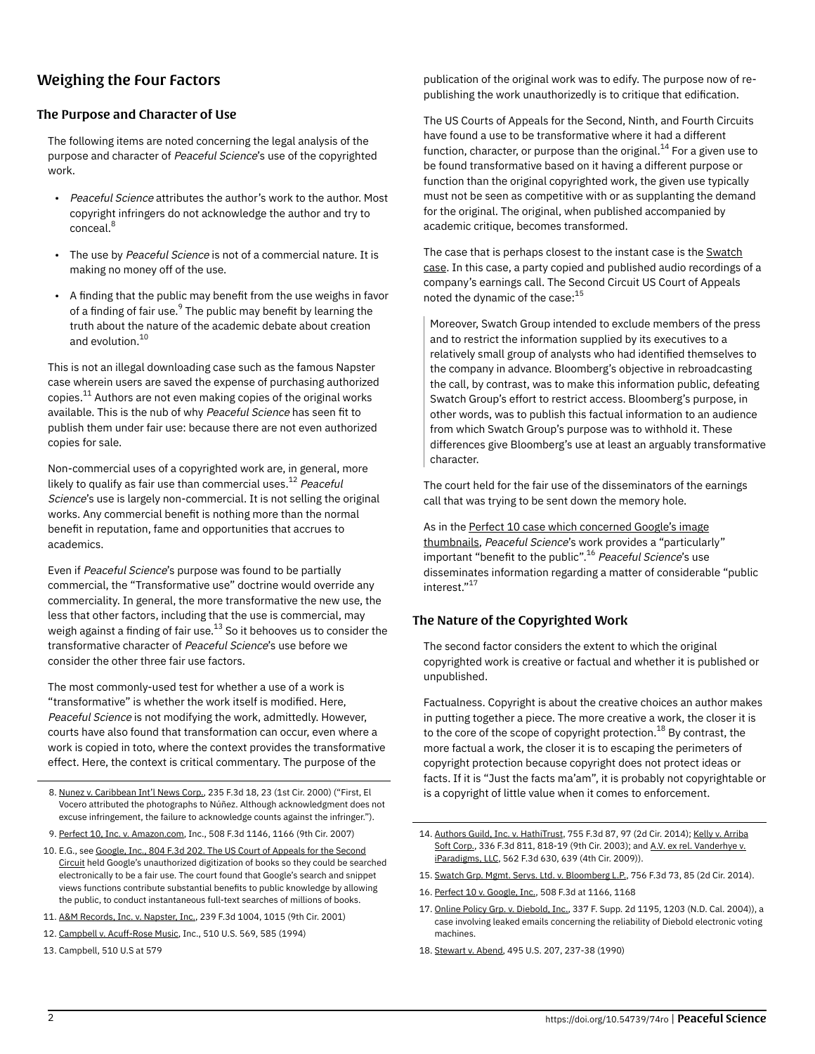# Weighing the Four Factors

#### The Purpose and Character of Use

The following items are noted concerning the legal analysis of the purpose and character of Peaceful Science's use of the copyrighted work.

- Peaceful Science attributes the author's work to the author. Most copyright infringers do not acknowledge the author and try to conceal. 8
- The use by Peaceful Science is not of a commercial nature. It is making no money off of the use.
- A finding that the public may benefit from the use weighs in favor of a finding of fair use.<sup>9</sup> The public may benefit by learning the truth about the nature of the academic debate about creation and evolution.<sup>10</sup>

This is not an illegal downloading case such as the famous Napster case wherein users are saved the expense of purchasing authorized copies. $^{\rm 11}$  Authors are not even making copies of the original works available. This is the nub of why Peaceful Science has seen fit to publish them under fair use: because there are not even authorized copies for sale.

Non-commercial uses of a copyrighted work are, in general, more likely to qualify as fair use than commercial uses.<sup>12</sup> *Peaceful* Science's use is largely non-commercial. It is not selling the original works. Any commercial benefit is nothing more than the normal benefit in reputation, fame and opportunities that accrues to academics.

Even if Peaceful Science's purpose was found to be partially commercial, the "Transformative use" doctrine would override any commerciality. In general, the more transformative the new use, the less that other factors, including that the use is commercial, may weigh against a finding of fair use. $^{\rm 13}$  So it behooves us to consider the transformative character of Peaceful Science's use before we consider the other three fair use factors.

The most commonly-used test for whether a use of a work is "transformative" is whether the work itself is modified. Here, Peaceful Science is not modifying the work, admittedly. However, courts have also found that transformation can occur, even where a work is copied in toto, where the context provides the transformative effect. Here, the context is critical commentary. The purpose of the

- 8. [Nunez v. Caribbean Int'l News Corp.,](https://en.wikipedia.org/wiki/Nunez_v._Caribbean_Int%E2%80%99l_News_Corp.) 235 F.3d 18, 23 (1st Cir. 2000) ("First, El Vocero attributed the photographs to Núñez. Although acknowledgment does not excuse infringement, the failure to acknowledge counts against the infringer.").
- 9. [Perfect 10, Inc. v. Amazon.com](https://en.wikipedia.org/wiki/Perfect_10,_Inc._v._Amazon.com,_Inc.), Inc., 508 F.3d 1146, 1166 (9th Cir. 2007)
- 10. E.G., see [Google, Inc., 804 F.3d 202. The US Court of Appeals for the Second](https://en.wikipedia.org/wiki/Authors_Guild,_Inc._v._Google,_Inc.) [Circuit](https://en.wikipedia.org/wiki/Authors_Guild,_Inc._v._Google,_Inc.) held Google's unauthorized digitization of books so they could be searched electronically to be a fair use. The court found that Google's search and snippet views functions contribute substantial benefits to public knowledge by allowing the public, to conduct instantaneous full-text searches of millions of books.
- 11. [A&M Records, Inc. v. Napster, Inc.,](https://en.wikipedia.org/wiki/A%26M_Records,_Inc._v._Napster,_Inc.) 239 F.3d 1004, 1015 (9th Cir. 2001)
- 12. [Campbell v. Acuff-Rose Music](https://en.wikipedia.org/wiki/Campbell_v._Acuff-Rose_Music,_Inc.), Inc., 510 U.S. 569, 585 (1994)
- 13. Campbell, 510 U.S at 579

publication of the original work was to edify. The purpose now of republishing the work unauthorizedly is to critique that edification.

The US Courts of Appeals for the Second, Ninth, and Fourth Circuits have found a use to be transformative where it had a different function, character, or purpose than the original.<sup>14</sup> For a given use to be found transformative based on it having a different purpose or function than the original copyrighted work, the given use typically must not be seen as competitive with or as supplanting the demand for the original. The original, when published accompanied by academic critique, becomes transformed.

The case that is perhaps closest to the instant case is the [Swatch](https://casetext.com/case/swatch-grp-mgmt-servs-ltd-v-bloomberg-lp-4) [case](https://casetext.com/case/swatch-grp-mgmt-servs-ltd-v-bloomberg-lp-4). In this case, a party copied and published audio recordings of a company's earnings call. The Second Circuit US Court of Appeals noted the dynamic of the case: $15$ 

Moreover, Swatch Group intended to exclude members of the press and to restrict the information supplied by its executives to a relatively small group of analysts who had identified themselves to the company in advance. Bloomberg's objective in rebroadcasting the call, by contrast, was to make this information public, defeating Swatch Group's effort to restrict access. Bloomberg's purpose, in other words, was to publish this factual information to an audience from which Swatch Group's purpose was to withhold it. These differences give Bloomberg's use at least an arguably transformative character.

The court held for the fair use of the disseminators of the earnings call that was trying to be sent down the memory hole.

As in the [Perfect 10 case which concerned Google's image](https://en.wikipedia.org/wiki/Perfect_10,_Inc._v._Amazon.com,_Inc.) [thumbnails](https://en.wikipedia.org/wiki/Perfect_10,_Inc._v._Amazon.com,_Inc.), Peaceful Science's work provides a "particularly" important "benefit to the public".<sup>16</sup> *Peaceful Science*'s use disseminates information regarding a matter of considerable "public interest." 17

### The Nature of the Copyrighted Work

The second factor considers the extent to which the original copyrighted work is creative or factual and whether it is published or unpublished.

Factualness. Copyright is about the creative choices an author makes in putting together a piece. The more creative a work, the closer it is to the core of the scope of copyright protection.<sup>18</sup> By contrast, the more factual a work, the closer it is to escaping the perimeters of copyright protection because copyright does not protect ideas or facts. If it is "Just the facts ma'am", it is probably not copyrightable or is a copyright of little value when it comes to enforcement.

- 14. [Authors Guild, Inc. v. HathiTrust](https://en.wikipedia.org/wiki/Authors_Guild,_Inc._v._HathiTrust), 755 F.3d 87, 97 (2d Cir. 2014); [Kelly v. Arriba](https://en.wikipedia.org/wiki/Kelly_v._Arriba_Soft_Corp.) [Soft Corp.,](https://en.wikipedia.org/wiki/Kelly_v._Arriba_Soft_Corp.) 336 F.3d 811, 818-19 (9th Cir. 2003); and [A.V. ex rel. Vanderhye v.](https://www.lexisnexis.com/community/casebrief/p/casebrief-a-v-v-iparadigms-llc) [iParadigms, LLC](https://www.lexisnexis.com/community/casebrief/p/casebrief-a-v-v-iparadigms-llc), 562 F.3d 630, 639 (4th Cir. 2009)).
- 15. [Swatch Grp. Mgmt. Servs. Ltd. v. Bloomberg L.P.,](https://casetext.com/case/swatch-grp-mgmt-servs-ltd-v-bloomberg-lp-4) 756 F.3d 73, 85 (2d Cir. 2014).
- 16. [Perfect 10 v. Google, Inc.,](https://en.wikipedia.org/wiki/Perfect_10,_Inc._v._Amazon.com,_Inc.) 508 F.3d at 1166, 1168
- 17. [Online Policy Grp. v. Diebold, Inc.,](https://en.wikipedia.org/wiki/Online_Policy_Group_v._Diebold,_Inc.) 337 F. Supp. 2d 1195, 1203 (N.D. Cal. 2004)), a case involving leaked emails concerning the reliability of Diebold electronic voting machines.
- 18. [Stewart v. Abend,](https://en.wikipedia.org/wiki/Stewart_v._Abend) 495 U.S. 207, 237-38 (1990)